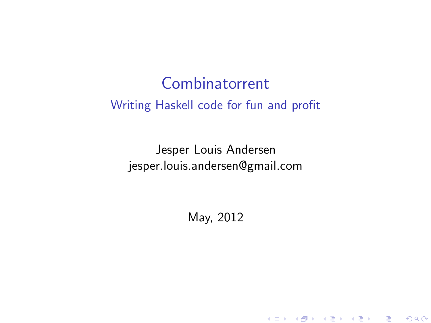## Combinatorrent Writing Haskell code for fun and profit

Jesper Louis Andersen jesper.louis.andersen@gmail.com

May, 2012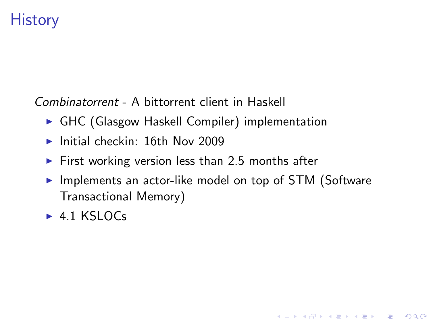## **History**

*Combinatorrent* - A bittorrent client in Haskell

- $\triangleright$  GHC (Glasgow Haskell Compiler) implementation
- $\blacktriangleright$  Initial checkin: 16th Nov 2009
- $\triangleright$  First working version less than 2.5 months after
- $\blacktriangleright$  Implements an actor-like model on top of STM (Software Transactional Memory)

**KORK ERKER ADE YOUR** 

 $\blacktriangleright$  4.1 KSLOCs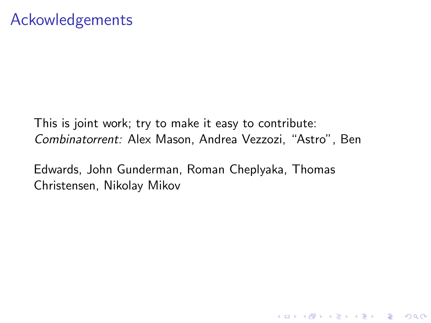This is joint work; try to make it easy to contribute: *Combinatorrent:* Alex Mason, Andrea Vezzozi, "Astro", Ben

K ロ ▶ K @ ▶ K 할 > K 할 > 1 할 > 1 이익어

Edwards, John Gunderman, Roman Cheplyaka, Thomas Christensen, Nikolay Mikov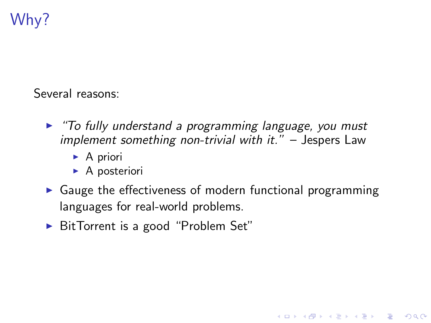# Why?

Several reasons:

- ► *"To fully understand a programming language, you must implement something non-trivial with it."* – Jespers Law
	- $\triangleright$  A priori
	- $\triangleright$  A posteriori
- $\triangleright$  Gauge the effectiveness of modern functional programming languages for real-world problems.

**KORK ERKER ADE YOUR** 

▶ BitTorrent is a good "Problem Set"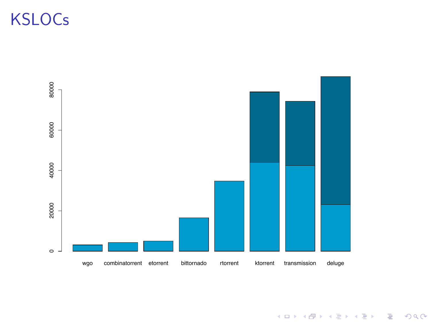# **KSLOCs**



K ロ X イロ X K ミ X K ミ X ミ X Y Q Q Q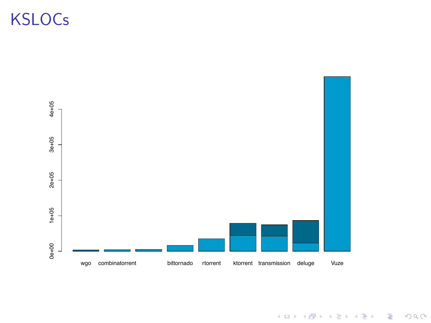# **KSLOCs**



K ロ X イロ X K ミ X K ミ X ミ X Y Q Q Q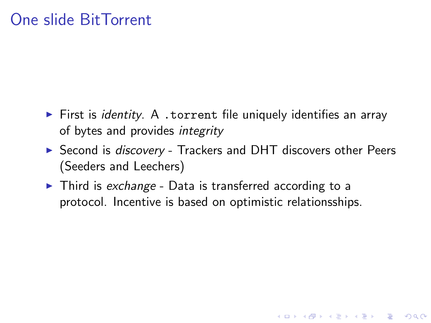## One slide BitTorrent

- ▶ First is *identity*. A .torrent file uniquely identifies an array of bytes and provides *integrity*
- ▶ Second is *discovery* Trackers and DHT discovers other Peers (Seeders and Leechers)

**K ロ ▶ K @ ▶ K 할 X X 할 X → 할 X → 9 Q Q ^** 

▶ Third is *exchange* - Data is transferred according to a protocol. Incentive is based on optimistic relationsships.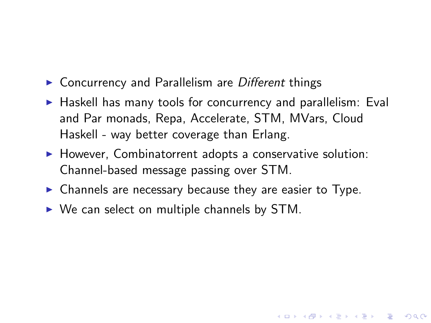- ▶ Concurrency and Parallelism are *Different* things
- $\blacktriangleright$  Haskell has many tools for concurrency and parallelism: Eval and Par monads, Repa, Accelerate, STM, MVars, Cloud Haskell - way better coverage than Erlang.

**KORK ERKER ADE YOUR** 

- $\blacktriangleright$  However, Combinatorrent adopts a conservative solution: Channel-based message passing over STM.
- $\triangleright$  Channels are necessary because they are easier to Type.
- $\triangleright$  We can select on multiple channels by STM.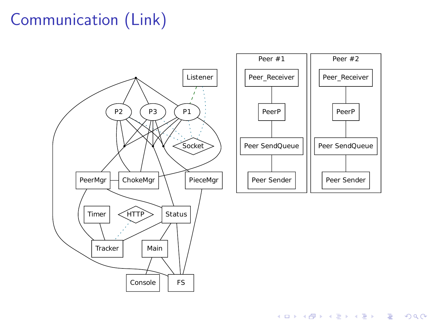# Communication (Link)



K ロ ▶ K @ ▶ K 할 ▶ K 할 ▶ ... 할 → 9 Q @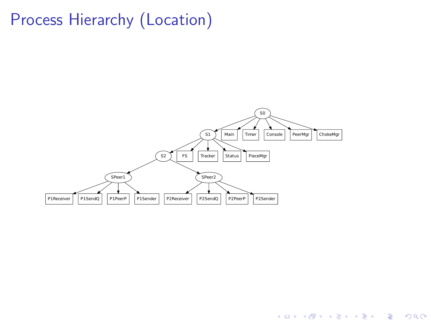## Process Hierarchy (Location)



K ロ > K @ > K 할 > K 할 > → 할 → ⊙ Q @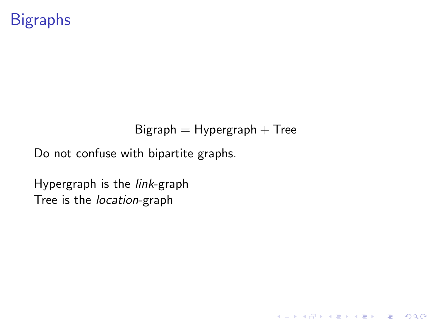## **Bigraphs**

#### $Big =$  Hypergraph  $+$  Tree

K ロ ▶ K @ ▶ K 할 > K 할 > 1 할 > 1 이익어

Do not confuse with bipartite graphs.

Hypergraph is the *link*-graph Tree is the *location*-graph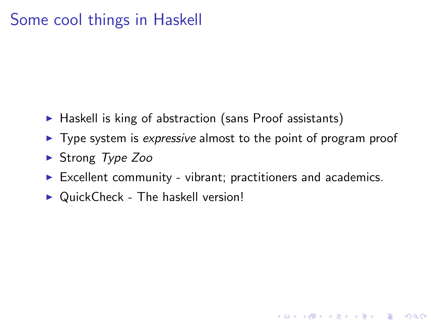## Some cool things in Haskell

- $\blacktriangleright$  Haskell is king of abstraction (sans Proof assistants)
- **►** Type system is *expressive* almost to the point of program proof
- I Strong *Type Zoo*
- $\triangleright$  Excellent community vibrant; practitioners and academics.

**KORKA SERKER ORA** 

 $\triangleright$  QuickCheck - The haskell version!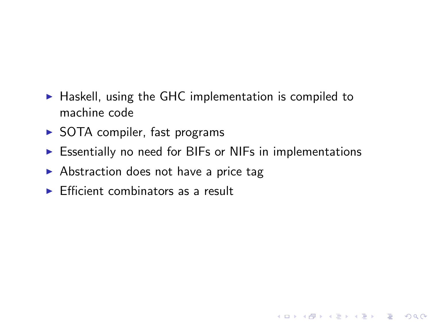- $\blacktriangleright$  Haskell, using the GHC implementation is compiled to machine code
- $\triangleright$  SOTA compiler, fast programs
- $\triangleright$  Essentially no need for BIFs or NIFs in implementations

- $\triangleright$  Abstraction does not have a price tag
- $\triangleright$  Efficient combinators as a result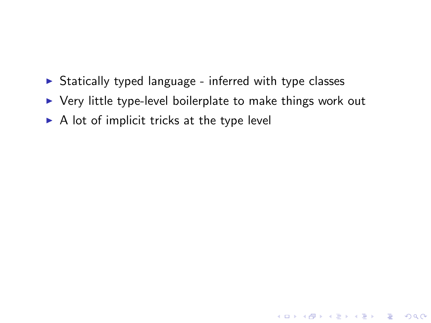- $\triangleright$  Statically typed language inferred with type classes
- $\triangleright$  Very little type-level boilerplate to make things work out

**K ロ ▶ K @ ▶ K 할 X X 할 X → 할 X → 9 Q Q ^** 

 $\triangleright$  A lot of implicit tricks at the type level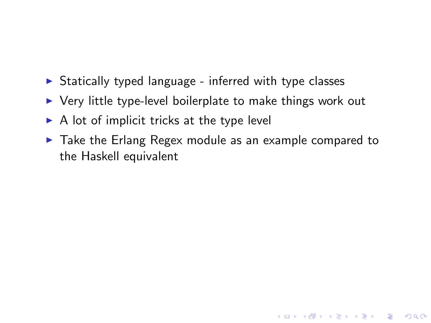- $\triangleright$  Statically typed language inferred with type classes
- $\triangleright$  Very little type-level boilerplate to make things work out
- $\triangleright$  A lot of implicit tricks at the type level
- $\blacktriangleright$  Take the Erlang Regex module as an example compared to the Haskell equivalent

K ロ ▶ K @ ▶ K 할 > K 할 > 1 할 > 1 이익어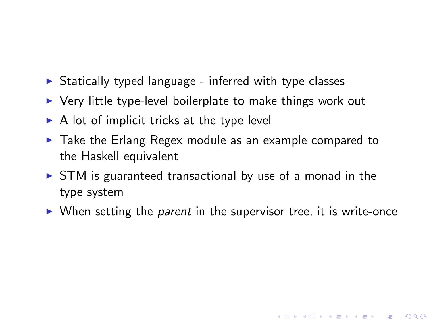- $\triangleright$  Statically typed language inferred with type classes
- $\triangleright$  Very little type-level boilerplate to make things work out
- $\triangleright$  A lot of implicit tricks at the type level
- $\blacktriangleright$  Take the Erlang Regex module as an example compared to the Haskell equivalent
- $\triangleright$  STM is guaranteed transactional by use of a monad in the type system
- ▶ When setting the *parent* in the supervisor tree, it is write-once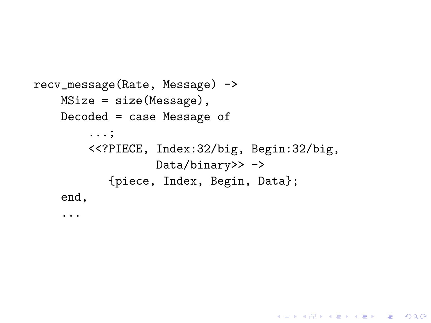```
recv_message(Rate, Message) ->
    MSize = size(Message),
    Decoded = case Message of
        ...;
        <<?PIECE, Index:32/big, Begin:32/big,
                  Data/binary>> ->
           {piece, Index, Begin, Data};
    end,
```
...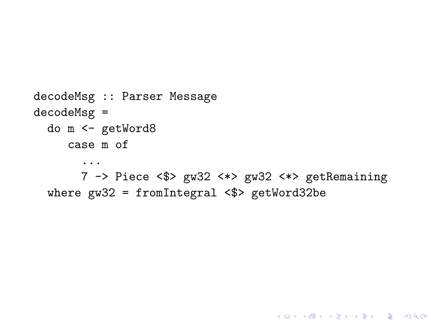```
decodeMsg :: Parser Message
decodeMsg =do m <- getWord8
     case m of
       \ddots7 -> Piece <$> gw32 <*> gw32 <*> getRemaining
  where gw32 = fromIntegral <$> getWord32be
```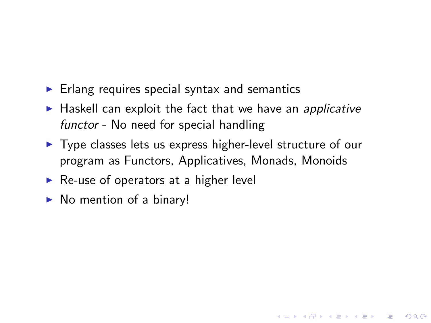- $\blacktriangleright$  Erlang requires special syntax and semantics
- ▶ Haskell can exploit the fact that we have an *applicative functor* - No need for special handling
- $\triangleright$  Type classes lets us express higher-level structure of our program as Functors, Applicatives, Monads, Monoids

**KORK ERKER ADE YOUR** 

- $\triangleright$  Re-use of operators at a higher level
- $\triangleright$  No mention of a binary!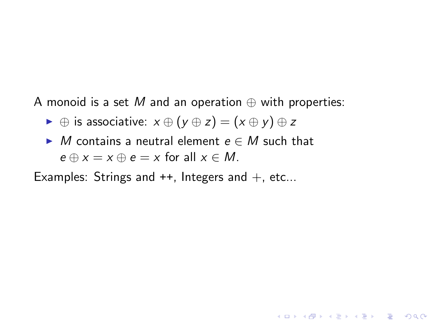A monoid is a set M and an operation  $\oplus$  with properties:

- $\rightarrow \oplus$  is associative:  $x \oplus (y \oplus z) = (x \oplus y) \oplus z$
- $\blacktriangleright$  *M* contains a neutral element  $e \in M$  such that  $e \oplus x = x \oplus e = x$  for all  $x \in M$ .

**KORK ERKER ADE YOUR** 

Examples: Strings and  $++$ , Integers and  $+$ , etc...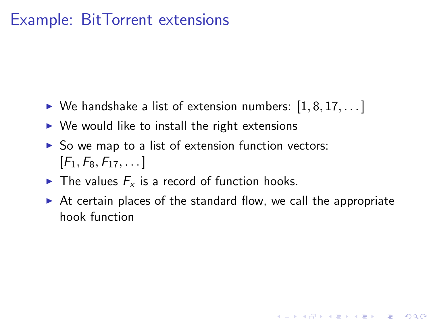### Example: BitTorrent extensions

- ▶ We handshake a list of extension numbers:  $[1, 8, 17, \ldots]$
- $\triangleright$  We would like to install the right extensions
- $\triangleright$  So we map to a list of extension function vectors:  $[F_1, F_8, F_{17}, \ldots]$
- $\blacktriangleright$  The values  $F_x$  is a record of function hooks.
- $\triangleright$  At certain places of the standard flow, we call the appropriate hook function

**KORK ERKER ADE YOUR**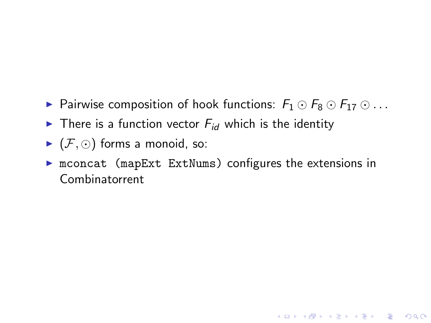- ► Pairwise composition of hook functions:  $F_1 \odot F_8 \odot F_{17} \odot \ldots$
- There is a function vector  $F_{id}$  which is the identity
- $\blacktriangleright$   $(\mathcal{F}, \odot)$  forms a monoid, so:
- $\triangleright$  mconcat (mapExt ExtNums) configures the extensions in Combinatorrent

K ロ ▶ K @ ▶ K 할 ▶ K 할 ▶ | 할 | © 9 Q @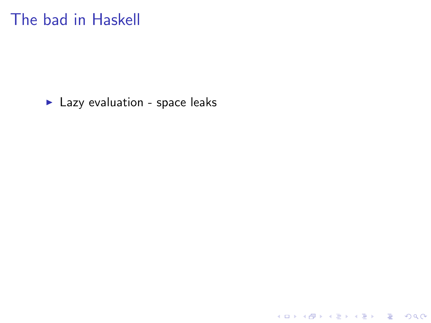Lazy evaluation - space leaks

K ロ ▶ K @ ▶ K 할 ▶ K 할 ▶ | 할 | ⊙Q @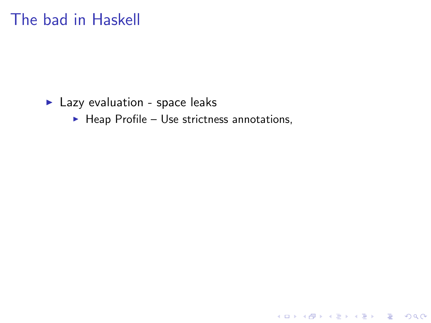#### Lazy evaluation - space leaks

 $\blacktriangleright$  Heap Profile - Use strictness annotations,

イロト イ御 トイミト イミト ニミー りんぴ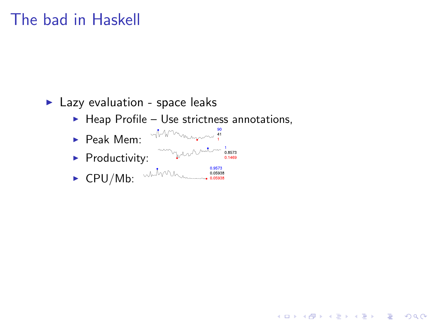#### $\blacktriangleright$  Lazy evaluation - space leaks

 $\blacktriangleright$  Heap Profile - Use strictness annotations,

K ロ ▶ K @ ▶ K 할 ▶ K 할 ▶ 이 할 → 9 Q @

- Peak Mem<sup>. Whymmn</sup>
- Productivity:
-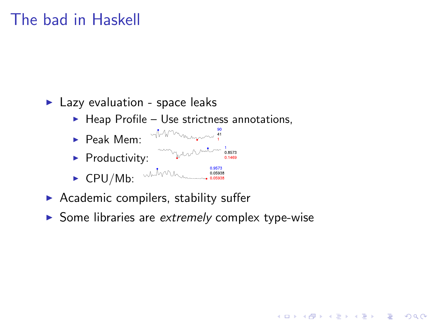$\blacktriangleright$  Lazy evaluation - space leaks

- $\blacktriangleright$  Heap Profile Use strictness annotations,
- Peak Mem<sup>. MM</sup>
- $\blacktriangleright$  Productivity:
- 
- $\triangleright$  Academic compilers, stability suffer
- Some libraries are extremely complex type-wise

**KORK STRAIN A BAR SHOP**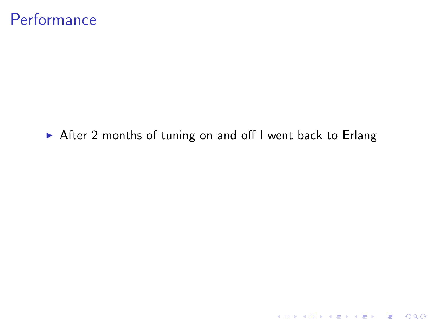#### **Performance**

▶ After 2 months of tuning on and off I went back to Erlang

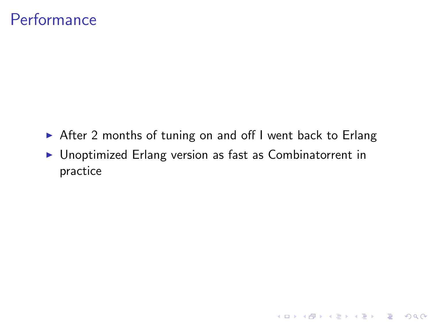### **Performance**

- ▶ After 2 months of tuning on and off I went back to Erlang
- $\triangleright$  Unoptimized Erlang version as fast as Combinatorrent in practice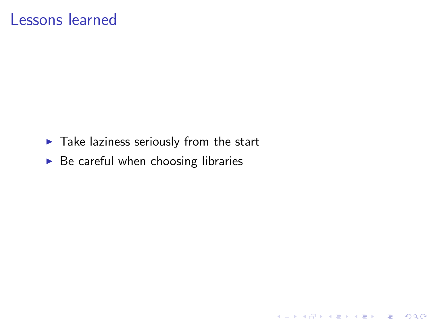#### Lessons learned

 $\blacktriangleright$  Take laziness seriously from the start

K ロ K K (P) K (E) K (E) X (E) X (P) K (P)

 $\triangleright$  Be careful when choosing libraries